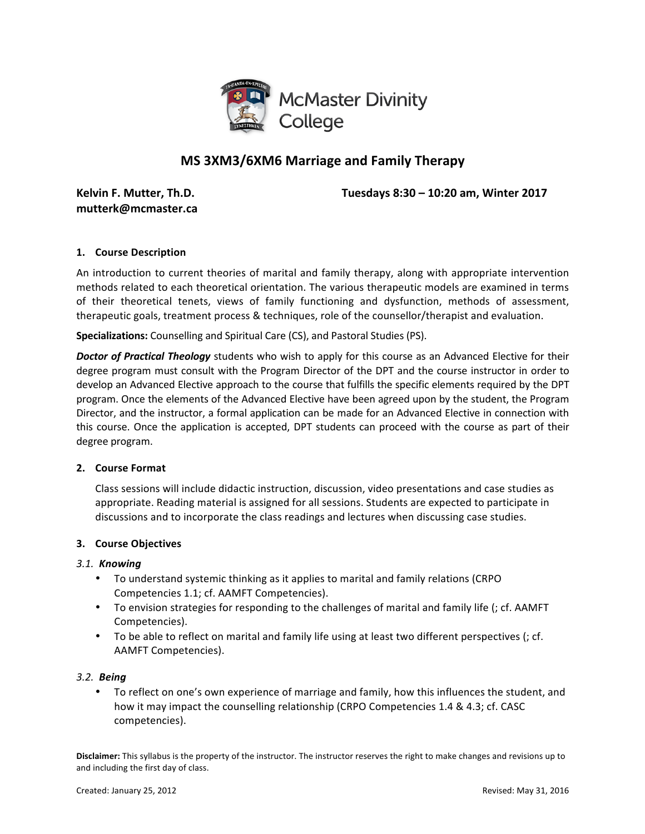

# **MS 3XM3/6XM6 Marriage and Family Therapy**

**mutterk@mcmaster.ca**

**Kelvin F. Mutter, Th.D. Tuesdays** 8:30 – 10:20 am, Winter 2017

### **1. Course Description**

An introduction to current theories of marital and family therapy, along with appropriate intervention methods related to each theoretical orientation. The various therapeutic models are examined in terms of their theoretical tenets, views of family functioning and dysfunction, methods of assessment, therapeutic goals, treatment process & techniques, role of the counsellor/therapist and evaluation.

**Specializations:** Counselling and Spiritual Care (CS), and Pastoral Studies (PS).

**Doctor of Practical Theology** students who wish to apply for this course as an Advanced Elective for their degree program must consult with the Program Director of the DPT and the course instructor in order to develop an Advanced Elective approach to the course that fulfills the specific elements required by the DPT program. Once the elements of the Advanced Elective have been agreed upon by the student, the Program Director, and the instructor, a formal application can be made for an Advanced Elective in connection with this course. Once the application is accepted, DPT students can proceed with the course as part of their degree program.

#### **2. Course Format**

Class sessions will include didactic instruction, discussion, video presentations and case studies as appropriate. Reading material is assigned for all sessions. Students are expected to participate in discussions and to incorporate the class readings and lectures when discussing case studies.

#### **3. Course Objectives**

#### *3.1. Knowing*

- To understand systemic thinking as it applies to marital and family relations (CRPO Competencies 1.1; cf. AAMFT Competencies).
- To envision strategies for responding to the challenges of marital and family life (; cf. AAMFT Competencies).
- To be able to reflect on marital and family life using at least two different perspectives (; cf. AAMFT Competencies).

#### *3.2. Being*

• To reflect on one's own experience of marriage and family, how this influences the student, and how it may impact the counselling relationship (CRPO Competencies 1.4 & 4.3; cf. CASC competencies).

**Disclaimer:** This syllabus is the property of the instructor. The instructor reserves the right to make changes and revisions up to and including the first day of class.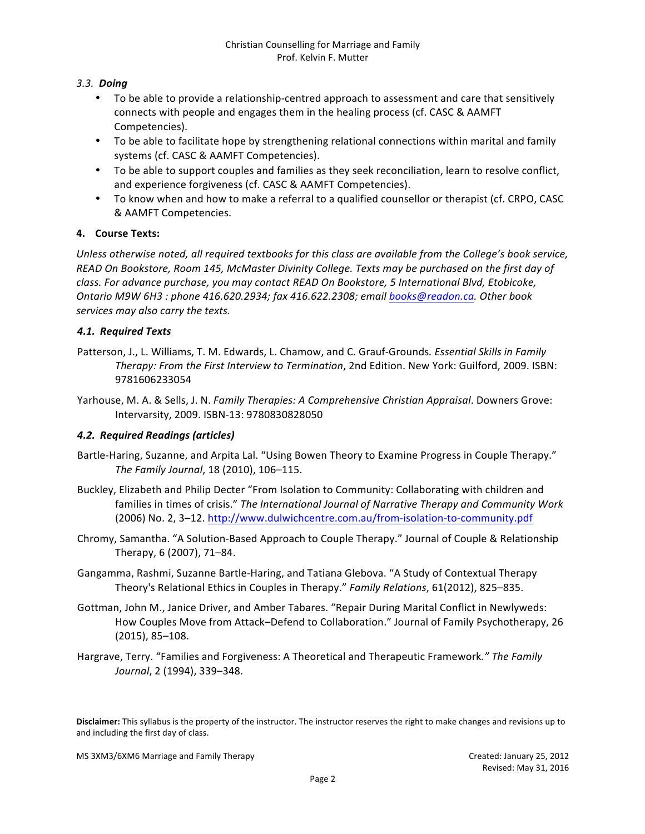## *3.3. Doing*

- To be able to provide a relationship-centred approach to assessment and care that sensitively connects with people and engages them in the healing process (cf. CASC & AAMFT Competencies).
- To be able to facilitate hope by strengthening relational connections within marital and family systems (cf. CASC & AAMFT Competencies).
- To be able to support couples and families as they seek reconciliation, learn to resolve conflict, and experience forgiveness (cf. CASC & AAMFT Competencies).
- To know when and how to make a referral to a qualified counsellor or therapist (cf. CRPO, CASC & AAMFT Competencies.

### **4. Course Texts:**

*Unless otherwise noted, all required textbooks for this class are available from the College's book service, READ On Bookstore, Room 145, McMaster Divinity College. Texts may be purchased on the first day of class. For advance purchase, you may contact READ On Bookstore, 5 International Blvd, Etobicoke, Ontario M9W 6H3* : phone 416.620.2934; fax 416.622.2308; email books@readon.ca. Other book *services may also carry the texts.*

### *4.1. Required Texts*

- Patterson, J., L. Williams, T. M. Edwards, L. Chamow, and C. Grauf-Grounds. Essential Skills in Family Therapy: From the First Interview to Termination, 2nd Edition. New York: Guilford, 2009. ISBN: 9781606233054
- Yarhouse, M. A. & Sells, J. N. *Family Therapies: A Comprehensive Christian Appraisal*. Downers Grove: Intervarsity, 2009. ISBN-13: 9780830828050

#### *4.2. Required Readings (articles)*

- Bartle-Haring, Suzanne, and Arpita Lal. "Using Bowen Theory to Examine Progress in Couple Therapy." *The Family Journal*, 18 (2010), 106–115.
- Buckley, Elizabeth and Philip Decter "From Isolation to Community: Collaborating with children and families in times of crisis." The International Journal of Narrative Therapy and Community Work (2006) No. 2, 3-12. http://www.dulwichcentre.com.au/from-isolation-to-community.pdf
- Chromy, Samantha. "A Solution-Based Approach to Couple Therapy." Journal of Couple & Relationship Therapy, 6 (2007), 71-84.
- Gangamma, Rashmi, Suzanne Bartle-Haring, and Tatiana Glebova. "A Study of Contextual Therapy Theory's Relational Ethics in Couples in Therapy." *Family Relations*, 61(2012), 825–835.
- Gottman, John M., Janice Driver, and Amber Tabares. "Repair During Marital Conflict in Newlyweds: How Couples Move from Attack–Defend to Collaboration." Journal of Family Psychotherapy, 26 (2015), 85–108.
- Hargrave, Terry. "Families and Forgiveness: A Theoretical and Therapeutic Framework." The Family *Journal*, 2 (1994), 339-348.

Disclaimer: This syllabus is the property of the instructor. The instructor reserves the right to make changes and revisions up to and including the first day of class.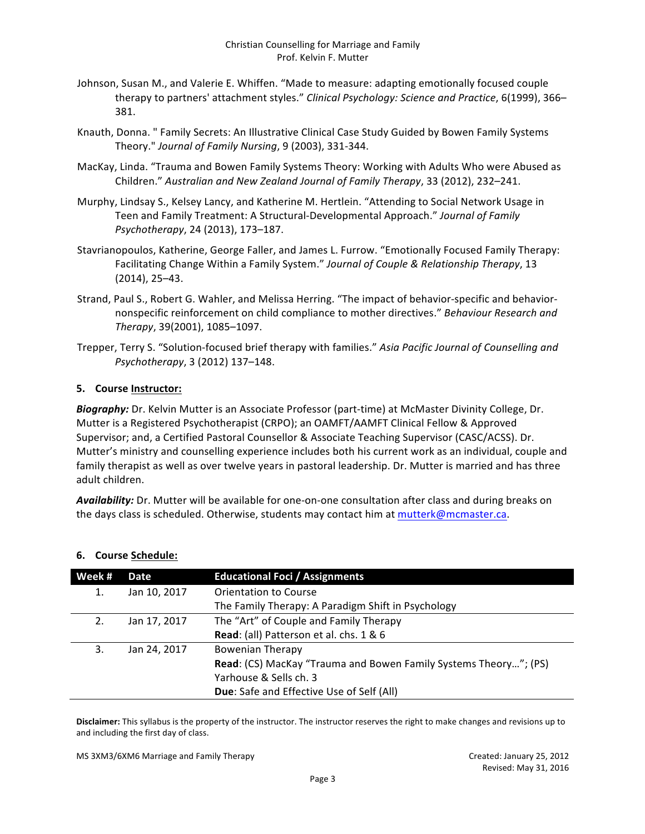- Johnson, Susan M., and Valerie E. Whiffen. "Made to measure: adapting emotionally focused couple therapy to partners' attachment styles." *Clinical Psychology: Science and Practice*, 6(1999), 366– 381.
- Knauth, Donna. " Family Secrets: An Illustrative Clinical Case Study Guided by Bowen Family Systems Theory." Journal of Family Nursing, 9 (2003), 331-344.
- MacKay, Linda. "Trauma and Bowen Family Systems Theory: Working with Adults Who were Abused as Children." Australian and New Zealand Journal of Family Therapy, 33 (2012), 232-241.
- Murphy, Lindsay S., Kelsey Lancy, and Katherine M. Hertlein. "Attending to Social Network Usage in Teen and Family Treatment: A Structural-Developmental Approach." *Journal of Family Psychotherapy*, 24 (2013), 173–187.
- Stavrianopoulos, Katherine, George Faller, and James L. Furrow. "Emotionally Focused Family Therapy: Facilitating Change Within a Family System." *Journal of Couple & Relationship Therapy*, 13  $(2014)$ , 25–43.
- Strand, Paul S., Robert G. Wahler, and Melissa Herring. "The impact of behavior-specific and behaviornonspecific reinforcement on child compliance to mother directives." *Behaviour Research and Therapy*, 39(2001), 1085–1097.
- Trepper, Terry S. "Solution-focused brief therapy with families." Asia Pacific Journal of Counselling and *Psychotherapy*, 3 (2012) 137–148.

### **5.** Course Instructor:

**Biography:** Dr. Kelvin Mutter is an Associate Professor (part-time) at McMaster Divinity College, Dr. Mutter is a Registered Psychotherapist (CRPO); an OAMFT/AAMFT Clinical Fellow & Approved Supervisor; and, a Certified Pastoral Counsellor & Associate Teaching Supervisor (CASC/ACSS). Dr. Mutter's ministry and counselling experience includes both his current work as an individual, couple and family therapist as well as over twelve years in pastoral leadership. Dr. Mutter is married and has three adult children.

**Availability:** Dr. Mutter will be available for one-on-one consultation after class and during breaks on the days class is scheduled. Otherwise, students may contact him at mutterk@mcmaster.ca.

| Week # | Date         | <b>Educational Foci / Assignments</b>                            |
|--------|--------------|------------------------------------------------------------------|
| 1.     | Jan 10, 2017 | <b>Orientation to Course</b>                                     |
|        |              | The Family Therapy: A Paradigm Shift in Psychology               |
| 2.     | Jan 17, 2017 | The "Art" of Couple and Family Therapy                           |
|        |              | Read: (all) Patterson et al. chs. 1 & 6                          |
| 3.     | Jan 24, 2017 | <b>Bowenian Therapy</b>                                          |
|        |              | Read: (CS) MacKay "Trauma and Bowen Family Systems Theory"; (PS) |
|        |              | Yarhouse & Sells ch. 3                                           |
|        |              | Due: Safe and Effective Use of Self (All)                        |

#### **6. Course Schedule:**

Disclaimer: This syllabus is the property of the instructor. The instructor reserves the right to make changes and revisions up to and including the first day of class.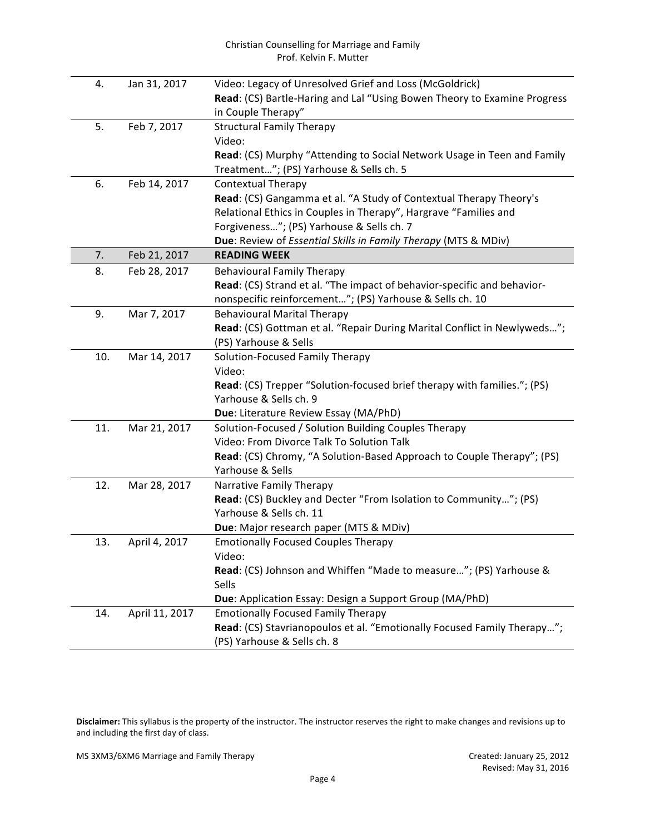| Prof. Kelvin F. Mutter |                |                                                                                                   |  |  |  |
|------------------------|----------------|---------------------------------------------------------------------------------------------------|--|--|--|
| 4.                     | Jan 31, 2017   | Video: Legacy of Unresolved Grief and Loss (McGoldrick)                                           |  |  |  |
|                        |                | Read: (CS) Bartle-Haring and Lal "Using Bowen Theory to Examine Progress                          |  |  |  |
|                        |                | in Couple Therapy"                                                                                |  |  |  |
| 5.                     | Feb 7, 2017    | <b>Structural Family Therapy</b>                                                                  |  |  |  |
|                        |                | Video:                                                                                            |  |  |  |
|                        |                | Read: (CS) Murphy "Attending to Social Network Usage in Teen and Family                           |  |  |  |
|                        |                | Treatment"; (PS) Yarhouse & Sells ch. 5                                                           |  |  |  |
| 6.                     | Feb 14, 2017   | <b>Contextual Therapy</b>                                                                         |  |  |  |
|                        |                | Read: (CS) Gangamma et al. "A Study of Contextual Therapy Theory's                                |  |  |  |
|                        |                | Relational Ethics in Couples in Therapy", Hargrave "Families and                                  |  |  |  |
|                        |                | Forgiveness"; (PS) Yarhouse & Sells ch. 7                                                         |  |  |  |
|                        |                | Due: Review of Essential Skills in Family Therapy (MTS & MDiv)                                    |  |  |  |
| 7.                     | Feb 21, 2017   | <b>READING WEEK</b>                                                                               |  |  |  |
| 8.                     | Feb 28, 2017   | <b>Behavioural Family Therapy</b>                                                                 |  |  |  |
|                        |                | Read: (CS) Strand et al. "The impact of behavior-specific and behavior-                           |  |  |  |
|                        |                | nonspecific reinforcement"; (PS) Yarhouse & Sells ch. 10                                          |  |  |  |
| 9.                     | Mar 7, 2017    | <b>Behavioural Marital Therapy</b>                                                                |  |  |  |
|                        |                | Read: (CS) Gottman et al. "Repair During Marital Conflict in Newlyweds";                          |  |  |  |
|                        |                | (PS) Yarhouse & Sells                                                                             |  |  |  |
| 10.                    | Mar 14, 2017   | Solution-Focused Family Therapy                                                                   |  |  |  |
|                        |                | Video:                                                                                            |  |  |  |
|                        |                | Read: (CS) Trepper "Solution-focused brief therapy with families."; (PS)                          |  |  |  |
|                        |                | Yarhouse & Sells ch. 9                                                                            |  |  |  |
|                        |                | Due: Literature Review Essay (MA/PhD)                                                             |  |  |  |
| 11.                    | Mar 21, 2017   | Solution-Focused / Solution Building Couples Therapy<br>Video: From Divorce Talk To Solution Talk |  |  |  |
|                        |                |                                                                                                   |  |  |  |
|                        |                | Read: (CS) Chromy, "A Solution-Based Approach to Couple Therapy"; (PS)<br>Yarhouse & Sells        |  |  |  |
| 12.                    | Mar 28, 2017   | Narrative Family Therapy                                                                          |  |  |  |
|                        |                | Read: (CS) Buckley and Decter "From Isolation to Community"; (PS)                                 |  |  |  |
|                        |                | Yarhouse & Sells ch. 11                                                                           |  |  |  |
|                        |                | Due: Major research paper (MTS & MDiv)                                                            |  |  |  |
| 13.                    | April 4, 2017  | <b>Emotionally Focused Couples Therapy</b>                                                        |  |  |  |
|                        |                | Video:                                                                                            |  |  |  |
|                        |                | Read: (CS) Johnson and Whiffen "Made to measure"; (PS) Yarhouse &                                 |  |  |  |
|                        |                | Sells                                                                                             |  |  |  |
|                        |                | Due: Application Essay: Design a Support Group (MA/PhD)                                           |  |  |  |
| 14.                    | April 11, 2017 | <b>Emotionally Focused Family Therapy</b>                                                         |  |  |  |
|                        |                | Read: (CS) Stavrianopoulos et al. "Emotionally Focused Family Therapy";                           |  |  |  |
|                        |                | (PS) Yarhouse & Sells ch. 8                                                                       |  |  |  |

Christian Counselling for Marriage and Family

Disclaimer: This syllabus is the property of the instructor. The instructor reserves the right to make changes and revisions up to and including the first day of class.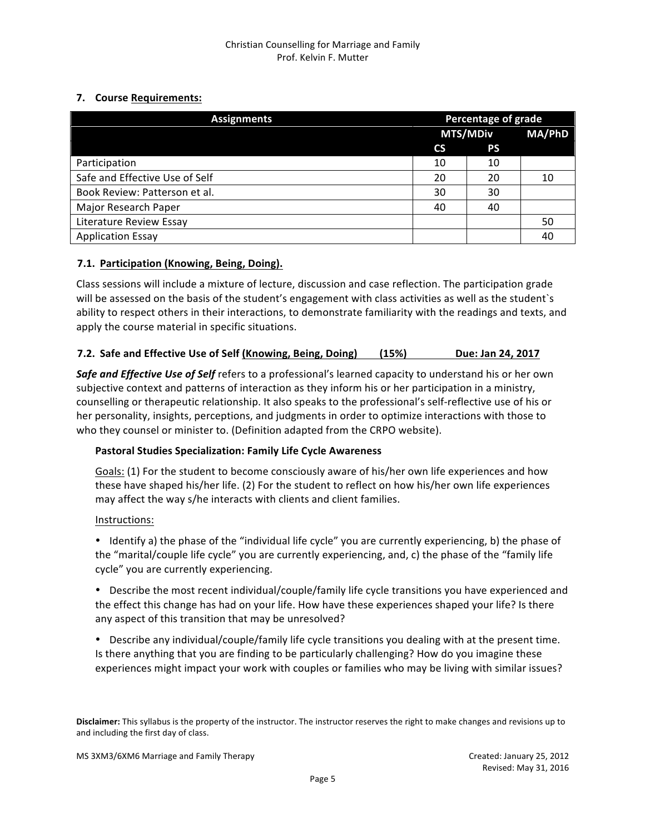# **7.** Course Requirements:

| <b>Assignments</b>             |                 | Percentage of grade |               |  |
|--------------------------------|-----------------|---------------------|---------------|--|
|                                | <b>MTS/MDiv</b> |                     | <b>MA/PhD</b> |  |
|                                | <b>CS</b>       | <b>PS</b>           |               |  |
| Participation                  | 10              | 10                  |               |  |
| Safe and Effective Use of Self |                 | 20                  | 10            |  |
| Book Review: Patterson et al.  |                 | 30                  |               |  |
| Major Research Paper           |                 | 40                  |               |  |
| Literature Review Essay        |                 |                     | 50            |  |
| <b>Application Essay</b>       |                 |                     | 40            |  |

# **7.1. Participation (Knowing, Being, Doing).**

Class sessions will include a mixture of lecture, discussion and case reflection. The participation grade will be assessed on the basis of the student's engagement with class activities as well as the student's ability to respect others in their interactions, to demonstrate familiarity with the readings and texts, and apply the course material in specific situations.

### **7.2.** Safe and Effective Use of Self (Knowing, Being, Doing) (15%) Due: Jan 24, 2017

**Safe and Effective Use of Self** refers to a professional's learned capacity to understand his or her own subjective context and patterns of interaction as they inform his or her participation in a ministry, counselling or therapeutic relationship. It also speaks to the professional's self-reflective use of his or her personality, insights, perceptions, and judgments in order to optimize interactions with those to who they counsel or minister to. (Definition adapted from the CRPO website).

#### **Pastoral Studies Specialization: Family Life Cycle Awareness**

Goals: (1) For the student to become consciously aware of his/her own life experiences and how these have shaped his/her life. (2) For the student to reflect on how his/her own life experiences may affect the way s/he interacts with clients and client families.

#### Instructions:

• Identify a) the phase of the "individual life cycle" you are currently experiencing, b) the phase of the "marital/couple life cycle" you are currently experiencing, and, c) the phase of the "family life cycle" you are currently experiencing.

• Describe the most recent individual/couple/family life cycle transitions you have experienced and the effect this change has had on your life. How have these experiences shaped your life? Is there any aspect of this transition that may be unresolved?

• Describe any individual/couple/family life cycle transitions you dealing with at the present time. Is there anything that you are finding to be particularly challenging? How do you imagine these experiences might impact your work with couples or families who may be living with similar issues?

**Disclaimer:** This syllabus is the property of the instructor. The instructor reserves the right to make changes and revisions up to and including the first day of class.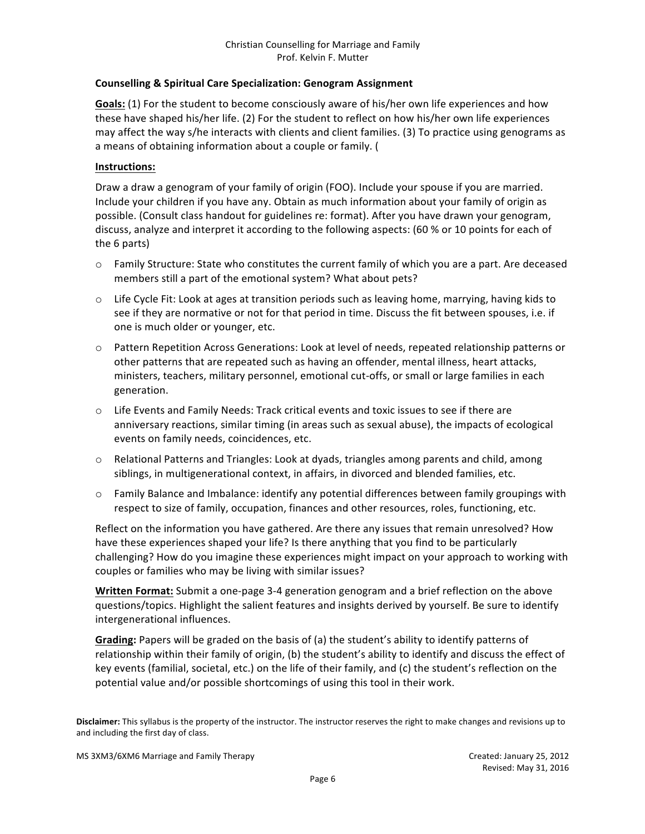#### **Counselling & Spiritual Care Specialization: Genogram Assignment**

Goals: (1) For the student to become consciously aware of his/her own life experiences and how these have shaped his/her life. (2) For the student to reflect on how his/her own life experiences may affect the way s/he interacts with clients and client families. (3) To practice using genograms as a means of obtaining information about a couple or family. (

#### **Instructions:**

Draw a draw a genogram of your family of origin (FOO). Include your spouse if you are married. Include your children if you have any. Obtain as much information about your family of origin as possible. (Consult class handout for guidelines re: format). After you have drawn your genogram, discuss, analyze and interpret it according to the following aspects: (60 % or 10 points for each of the 6 parts)

- $\circ$  Family Structure: State who constitutes the current family of which you are a part. Are deceased members still a part of the emotional system? What about pets?
- $\circ$  Life Cycle Fit: Look at ages at transition periods such as leaving home, marrying, having kids to see if they are normative or not for that period in time. Discuss the fit between spouses, i.e. if one is much older or younger, etc.
- o Pattern Repetition Across Generations: Look at level of needs, repeated relationship patterns or other patterns that are repeated such as having an offender, mental illness, heart attacks, ministers, teachers, military personnel, emotional cut-offs, or small or large families in each generation.
- $\circ$  Life Events and Family Needs: Track critical events and toxic issues to see if there are anniversary reactions, similar timing (in areas such as sexual abuse), the impacts of ecological events on family needs, coincidences, etc.
- o Relational Patterns and Triangles: Look at dyads, triangles among parents and child, among siblings, in multigenerational context, in affairs, in divorced and blended families, etc.
- $\circ$  Family Balance and Imbalance: identify any potential differences between family groupings with respect to size of family, occupation, finances and other resources, roles, functioning, etc.

Reflect on the information you have gathered. Are there any issues that remain unresolved? How have these experiences shaped your life? Is there anything that you find to be particularly challenging? How do you imagine these experiences might impact on your approach to working with couples or families who may be living with similar issues?

**Written Format:** Submit a one-page 3-4 generation genogram and a brief reflection on the above questions/topics. Highlight the salient features and insights derived by yourself. Be sure to identify intergenerational influences.

Grading: Papers will be graded on the basis of (a) the student's ability to identify patterns of relationship within their family of origin, (b) the student's ability to identify and discuss the effect of key events (familial, societal, etc.) on the life of their family, and (c) the student's reflection on the potential value and/or possible shortcomings of using this tool in their work.

Disclaimer: This syllabus is the property of the instructor. The instructor reserves the right to make changes and revisions up to and including the first day of class.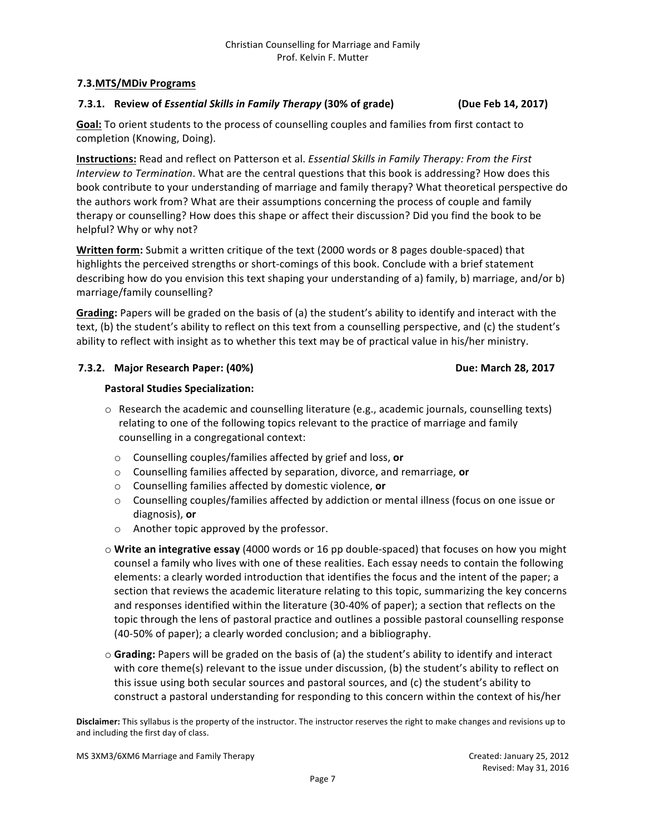#### **7.3.MTS/MDiv Programs**

# **7.3.1. Review of** *Essential Skills in Family Therapy* **(30% of grade) (Due Feb 14, 2017)**

**Goal:** To orient students to the process of counselling couples and families from first contact to completion (Knowing, Doing).

**Instructions:** Read and reflect on Patterson et al. *Essential Skills in Family Therapy: From the First Interview to Termination*. What are the central questions that this book is addressing? How does this book contribute to your understanding of marriage and family therapy? What theoretical perspective do the authors work from? What are their assumptions concerning the process of couple and family therapy or counselling? How does this shape or affect their discussion? Did you find the book to be helpful? Why or why not?

**Written form:** Submit a written critique of the text (2000 words or 8 pages double-spaced) that highlights the perceived strengths or short-comings of this book. Conclude with a brief statement describing how do you envision this text shaping your understanding of a) family, b) marriage, and/or b) marriage/family counselling?

**Grading:** Papers will be graded on the basis of (a) the student's ability to identify and interact with the text, (b) the student's ability to reflect on this text from a counselling perspective, and (c) the student's ability to reflect with insight as to whether this text may be of practical value in his/her ministry.

### **7.3.2. Major Research Paper: (40%) Due: March 28, 2017**

#### **Pastoral Studies Specialization:**

- $\circ$  Research the academic and counselling literature (e.g., academic journals, counselling texts) relating to one of the following topics relevant to the practice of marriage and family counselling in a congregational context:
	- o Counselling couples/families affected by grief and loss, **or**
	- o Counselling families affected by separation, divorce, and remarriage, **or**
	- o Counselling families affected by domestic violence, **or**
	- $\circ$  Counselling couples/families affected by addiction or mental illness (focus on one issue or diagnosis), or
	- $\circ$  Another topic approved by the professor.
- $\circ$  Write an integrative essay (4000 words or 16 pp double-spaced) that focuses on how you might counsel a family who lives with one of these realities. Each essay needs to contain the following elements: a clearly worded introduction that identifies the focus and the intent of the paper; a section that reviews the academic literature relating to this topic, summarizing the key concerns and responses identified within the literature (30-40% of paper); a section that reflects on the topic through the lens of pastoral practice and outlines a possible pastoral counselling response (40-50% of paper); a clearly worded conclusion; and a bibliography.
- $\circ$  Grading: Papers will be graded on the basis of (a) the student's ability to identify and interact with core theme(s) relevant to the issue under discussion, (b) the student's ability to reflect on this issue using both secular sources and pastoral sources, and (c) the student's ability to construct a pastoral understanding for responding to this concern within the context of his/her

Disclaimer: This syllabus is the property of the instructor. The instructor reserves the right to make changes and revisions up to and including the first day of class.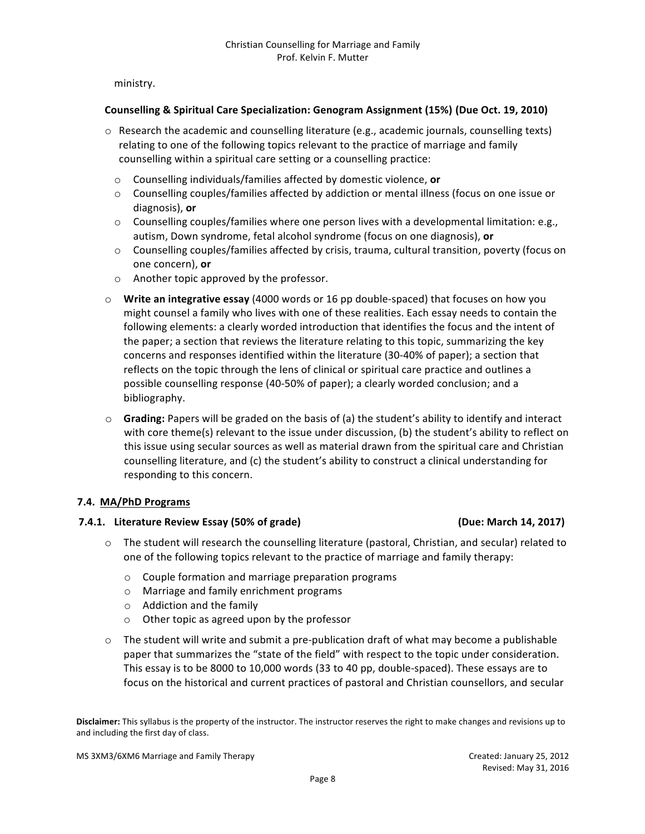ministry.

#### **Counselling & Spiritual Care Specialization: Genogram Assignment (15%) (Due Oct. 19, 2010)**

- $\circ$  Research the academic and counselling literature (e.g., academic journals, counselling texts) relating to one of the following topics relevant to the practice of marriage and family counselling within a spiritual care setting or a counselling practice:
	- o Counselling individuals/families affected by domestic violence, or
	- $\circ$  Counselling couples/families affected by addiction or mental illness (focus on one issue or diagnosis), or
	- $\circ$  Counselling couples/families where one person lives with a developmental limitation: e.g., autism, Down syndrome, fetal alcohol syndrome (focus on one diagnosis), or
	- $\circ$  Counselling couples/families affected by crisis, trauma, cultural transition, poverty (focus on one concern), or
	- $\circ$  Another topic approved by the professor.
- $\circ$  **Write an integrative essay** (4000 words or 16 pp double-spaced) that focuses on how you might counsel a family who lives with one of these realities. Each essay needs to contain the following elements: a clearly worded introduction that identifies the focus and the intent of the paper; a section that reviews the literature relating to this topic, summarizing the key concerns and responses identified within the literature (30-40% of paper); a section that reflects on the topic through the lens of clinical or spiritual care practice and outlines a possible counselling response (40-50% of paper); a clearly worded conclusion; and a bibliography.
- $\circ$  **Grading:** Papers will be graded on the basis of (a) the student's ability to identify and interact with core theme(s) relevant to the issue under discussion, (b) the student's ability to reflect on this issue using secular sources as well as material drawn from the spiritual care and Christian counselling literature, and (c) the student's ability to construct a clinical understanding for responding to this concern.

#### **7.4. MA/PhD Programs**

#### **7.4.1. Literature Review Essay (50% of grade) (Due: March 14, 2017)**

- $\circ$  The student will research the counselling literature (pastoral, Christian, and secular) related to one of the following topics relevant to the practice of marriage and family therapy:
	- $\circ$  Couple formation and marriage preparation programs
	- o Marriage and family enrichment programs
	- $\circ$  Addiction and the family
	- $\circ$  Other topic as agreed upon by the professor
- $\circ$  The student will write and submit a pre-publication draft of what may become a publishable paper that summarizes the "state of the field" with respect to the topic under consideration. This essay is to be 8000 to 10,000 words (33 to 40 pp, double-spaced). These essays are to focus on the historical and current practices of pastoral and Christian counsellors, and secular

Disclaimer: This syllabus is the property of the instructor. The instructor reserves the right to make changes and revisions up to and including the first day of class.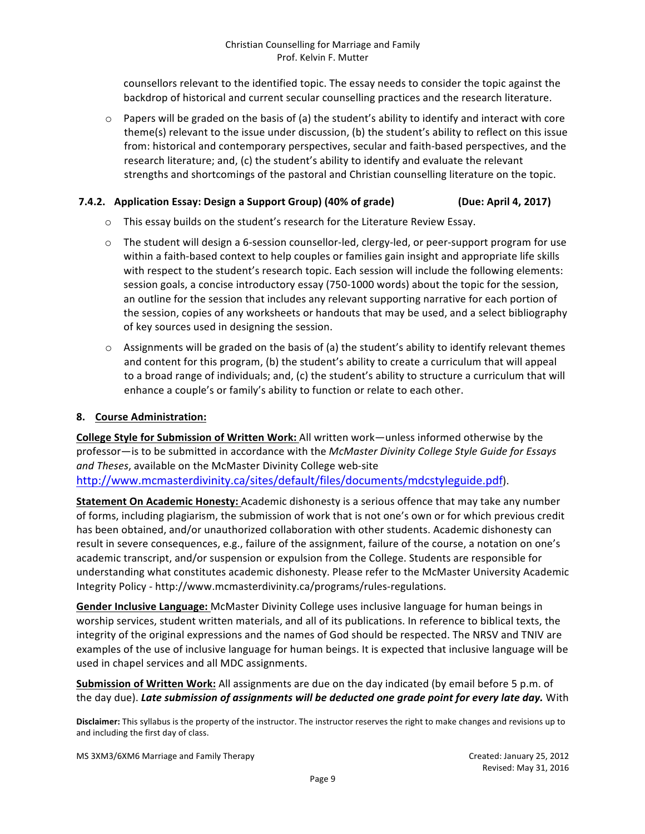counsellors relevant to the identified topic. The essay needs to consider the topic against the backdrop of historical and current secular counselling practices and the research literature.

 $\circ$  Papers will be graded on the basis of (a) the student's ability to identify and interact with core theme(s) relevant to the issue under discussion, (b) the student's ability to reflect on this issue from: historical and contemporary perspectives, secular and faith-based perspectives, and the research literature; and, (c) the student's ability to identify and evaluate the relevant strengths and shortcomings of the pastoral and Christian counselling literature on the topic.

#### **7.4.2.** Application Essay: Design a Support Group) (40% of grade) (Due: April 4, 2017)

- $\circ$  This essay builds on the student's research for the Literature Review Essay.
- o The student will design a 6-session counsellor-led, clergy-led, or peer-support program for use within a faith-based context to help couples or families gain insight and appropriate life skills with respect to the student's research topic. Each session will include the following elements: session goals, a concise introductory essay (750-1000 words) about the topic for the session, an outline for the session that includes any relevant supporting narrative for each portion of the session, copies of any worksheets or handouts that may be used, and a select bibliography of key sources used in designing the session.
- $\circ$  Assignments will be graded on the basis of (a) the student's ability to identify relevant themes and content for this program, (b) the student's ability to create a curriculum that will appeal to a broad range of individuals; and, (c) the student's ability to structure a curriculum that will enhance a couple's or family's ability to function or relate to each other.

#### **8. Course Administration:**

**College Style for Submission of Written Work:** All written work—unless informed otherwise by the professor-is to be submitted in accordance with the *McMaster Divinity College Style Guide for Essays* and Theses, available on the McMaster Divinity College web-site

http://www.mcmasterdivinity.ca/sites/default/files/documents/mdcstyleguide.pdf).

**Statement On Academic Honesty:** Academic dishonesty is a serious offence that may take any number of forms, including plagiarism, the submission of work that is not one's own or for which previous credit has been obtained, and/or unauthorized collaboration with other students. Academic dishonesty can result in severe consequences, e.g., failure of the assignment, failure of the course, a notation on one's academic transcript, and/or suspension or expulsion from the College. Students are responsible for understanding what constitutes academic dishonesty. Please refer to the McMaster University Academic Integrity Policy - http://www.mcmasterdivinity.ca/programs/rules-regulations.

Gender Inclusive Language: McMaster Divinity College uses inclusive language for human beings in worship services, student written materials, and all of its publications. In reference to biblical texts, the integrity of the original expressions and the names of God should be respected. The NRSV and TNIV are examples of the use of inclusive language for human beings. It is expected that inclusive language will be used in chapel services and all MDC assignments.

**Submission of Written Work:** All assignments are due on the day indicated (by email before 5 p.m. of the day due). Late submission of assignments will be deducted one grade point for every late day. With

Disclaimer: This syllabus is the property of the instructor. The instructor reserves the right to make changes and revisions up to and including the first day of class.